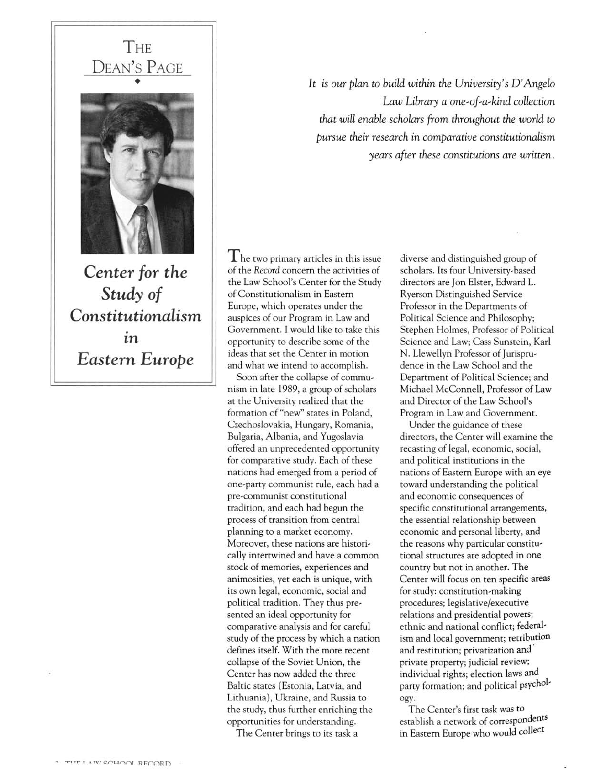## **THE** DEAN'S PAGE •

Center for the Study of Constitutionalism . ln Eastern Europe

It is our plan to build within the University's D'Angelo Law Library a one-of-a-kind collection that will enable scholars from throughout the world to pursue their research in comparative constitutionalism years after these constitutions are written.

 $T$ he two primary articles in this issue of the Record concern the activities of the Law School's Center for the Study of Constitutionalism in Eastern Europe, which operates under the auspices of our Program in Law and Government. I would like to take this opportunity to describe some of the ideas that set the Center in motion and what we intend to accomplish.

Soon after the collapse of communism in late 1989, <sup>a</sup> group of scholars at the University realized that the formation of "new" states in Poland, Czechoslovakia, Hungary, Romania, Bulgaria, Albania, and Yugoslavia offered an unprecedented opportunity for comparative study. Each of these nations had emerged from <sup>a</sup> period of one-party communist rule, each had <sup>a</sup> pre,communist constitutional tradition, and each had begun the process of transition from central planning to <sup>a</sup> market economy. Moreover, these nations are historically intertwined and have <sup>a</sup> common stock of memories, experiences and animosities, yet each is unique, with its own legal, economic, social and political tradition. They thus pre, sented an ideal opportunity for comparative analysis and for careful study of the process by which <sup>a</sup> nation defines itself. With the more recent collapse of the Soviet Union, the Center has now added the three Baltic states (Estonia, Latvia, and Lithuania), Ukraine, and Russia to the study, thus further enriching the opportunities for understanding.

The Center brings to its task <sup>a</sup>

diverse and distinguished group of scholars. Its four University-based directors are Jon Elster, Edward L. Ryerson Distinguished Service Professor in the Departments of Political Science and Philosophy; Stephen Holmes, Professor of Political Science and Law; Cass Sunstein, Karl N. Llewellyn Professor of <sup>J</sup>urisprudence in the Law School and the Department of Political Science; and Michael McConnell, Professor of Law and Director of the Law School's Program in Law and Government.

Under the guidance of these directors, the Center will examine the recasting of legal, economic, social, and political institutions in the nations of Eastern Europe with an eye toward understanding the political and economic consequences of specific constitutional arrangements, the essential relationship between economic and personal liberty, and the reasons why particular constitutional structures are adopted in one country but not in another. The Center will focus on ten specific areas for study: constitution-making procedures; legislative/executive relations and presidential powers; ethnic and national conflict; federalism and local government; retribution and restitution; privatization and' private property; judicial review; individual rights; election laws and party formation; and political psychology.

The Center's first task was to establish <sup>a</sup> network of correspondents in Eastern Europe who would collect